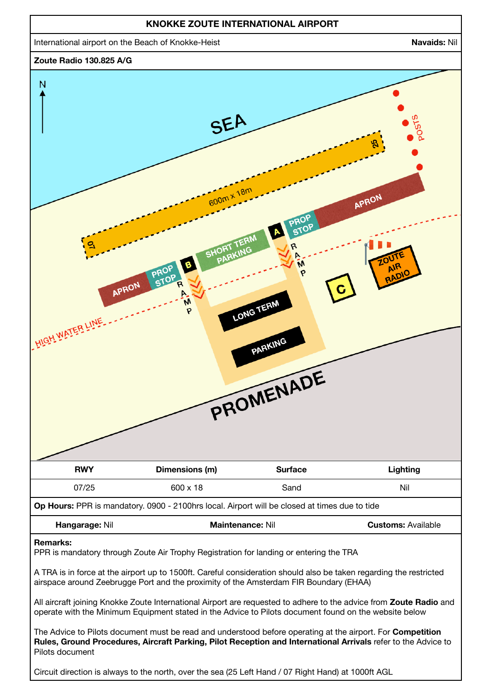

Circuit direction is always to the north, over the sea (25 Left Hand / 07 Right Hand) at 1000ft AGL